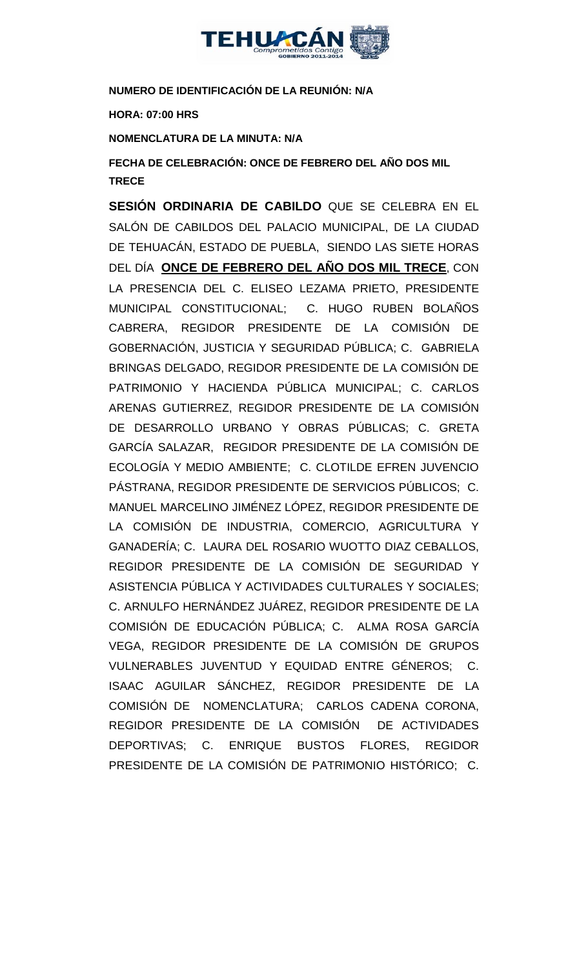

## **NUMERO DE IDENTIFICACIÓN DE LA REUNIÓN: N/A**

**HORA: 07:00 HRS**

**NOMENCLATURA DE LA MINUTA: N/A**

**FECHA DE CELEBRACIÓN: ONCE DE FEBRERO DEL AÑO DOS MIL TRECE** 

**SESIÓN ORDINARIA DE CABILDO** QUE SE CELEBRA EN EL SALÓN DE CABILDOS DEL PALACIO MUNICIPAL, DE LA CIUDAD DE TEHUACÁN, ESTADO DE PUEBLA, SIENDO LAS SIETE HORAS DEL DÍA **ONCE DE FEBRERO DEL AÑO DOS MIL TRECE**, CON LA PRESENCIA DEL C. ELISEO LEZAMA PRIETO, PRESIDENTE MUNICIPAL CONSTITUCIONAL; C. HUGO RUBEN BOLAÑOS CABRERA, REGIDOR PRESIDENTE DE LA COMISIÓN DE GOBERNACIÓN, JUSTICIA Y SEGURIDAD PÚBLICA; C. GABRIELA BRINGAS DELGADO, REGIDOR PRESIDENTE DE LA COMISIÓN DE PATRIMONIO Y HACIENDA PÚBLICA MUNICIPAL; C. CARLOS ARENAS GUTIERREZ, REGIDOR PRESIDENTE DE LA COMISIÓN DE DESARROLLO URBANO Y OBRAS PÚBLICAS; C. GRETA GARCÍA SALAZAR, REGIDOR PRESIDENTE DE LA COMISIÓN DE ECOLOGÍA Y MEDIO AMBIENTE; C. CLOTILDE EFREN JUVENCIO PÁSTRANA, REGIDOR PRESIDENTE DE SERVICIOS PÚBLICOS; C. MANUEL MARCELINO JIMÉNEZ LÓPEZ, REGIDOR PRESIDENTE DE LA COMISIÓN DE INDUSTRIA, COMERCIO, AGRICULTURA Y GANADERÍA; C. LAURA DEL ROSARIO WUOTTO DIAZ CEBALLOS, REGIDOR PRESIDENTE DE LA COMISIÓN DE SEGURIDAD Y ASISTENCIA PÚBLICA Y ACTIVIDADES CULTURALES Y SOCIALES; C. ARNULFO HERNÁNDEZ JUÁREZ, REGIDOR PRESIDENTE DE LA COMISIÓN DE EDUCACIÓN PÚBLICA; C. ALMA ROSA GARCÍA VEGA, REGIDOR PRESIDENTE DE LA COMISIÓN DE GRUPOS VULNERABLES JUVENTUD Y EQUIDAD ENTRE GÉNEROS; C. ISAAC AGUILAR SÁNCHEZ, REGIDOR PRESIDENTE DE LA COMISIÓN DE NOMENCLATURA; CARLOS CADENA CORONA, REGIDOR PRESIDENTE DE LA COMISIÓN DE ACTIVIDADES DEPORTIVAS; C. ENRIQUE BUSTOS FLORES, REGIDOR PRESIDENTE DE LA COMISIÓN DE PATRIMONIO HISTÓRICO; C.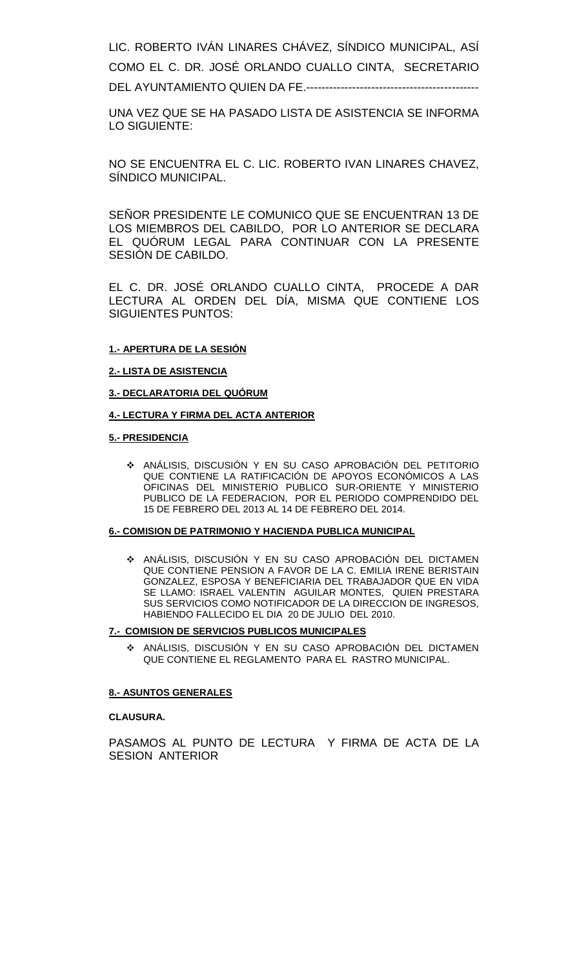LIC. ROBERTO IVÁN LINARES CHÁVEZ, SÍNDICO MUNICIPAL, ASÍ COMO EL C. DR. JOSÉ ORLANDO CUALLO CINTA, SECRETARIO DEL AYUNTAMIENTO QUIEN DA FE.---------------------------------------------

UNA VEZ QUE SE HA PASADO LISTA DE ASISTENCIA SE INFORMA LO SIGUIENTE:

NO SE ENCUENTRA EL C. LIC. ROBERTO IVAN LINARES CHAVEZ, SÍNDICO MUNICIPAL.

SEÑOR PRESIDENTE LE COMUNICO QUE SE ENCUENTRAN 13 DE LOS MIEMBROS DEL CABILDO, POR LO ANTERIOR SE DECLARA EL QUÓRUM LEGAL PARA CONTINUAR CON LA PRESENTE SESIÓN DE CABILDO.

EL C. DR. JOSÉ ORLANDO CUALLO CINTA, PROCEDE A DAR LECTURA AL ORDEN DEL DÍA, MISMA QUE CONTIENE LOS SIGUIENTES PUNTOS:

### **1.- APERTURA DE LA SESIÓN**

### **2.- LISTA DE ASISTENCIA**

### **3.- DECLARATORIA DEL QUÓRUM**

### **4.- LECTURA Y FIRMA DEL ACTA ANTERIOR**

### **5.- PRESIDENCIA**

 ANÁLISIS, DISCUSIÓN Y EN SU CASO APROBACIÓN DEL PETITORIO QUE CONTIENE LA RATIFICACIÓN DE APOYOS ECONÓMICOS A LAS OFICINAS DEL MINISTERIO PUBLICO SUR-ORIENTE Y MINISTERIO PUBLICO DE LA FEDERACION, POR EL PERIODO COMPRENDIDO DEL 15 DE FEBRERO DEL 2013 AL 14 DE FEBRERO DEL 2014.

### **6.- COMISION DE PATRIMONIO Y HACIENDA PUBLICA MUNICIPAL**

 ANÁLISIS, DISCUSIÓN Y EN SU CASO APROBACIÓN DEL DICTAMEN QUE CONTIENE PENSION A FAVOR DE LA C. EMILIA IRENE BERISTAIN GONZALEZ, ESPOSA Y BENEFICIARIA DEL TRABAJADOR QUE EN VIDA SE LLAMO: ISRAEL VALENTIN AGUILAR MONTES, QUIEN PRESTARA SUS SERVICIOS COMO NOTIFICADOR DE LA DIRECCION DE INGRESOS, HABIENDO FALLECIDO EL DIA 20 DE JULIO DEL 2010.

### **7.- COMISION DE SERVICIOS PUBLICOS MUNICIPALES**

 ANÁLISIS, DISCUSIÓN Y EN SU CASO APROBACIÓN DEL DICTAMEN QUE CONTIENE EL REGLAMENTO PARA EL RASTRO MUNICIPAL.

### **8.- ASUNTOS GENERALES**

### **CLAUSURA.**

PASAMOS AL PUNTO DE LECTURA Y FIRMA DE ACTA DE LA SESION ANTERIOR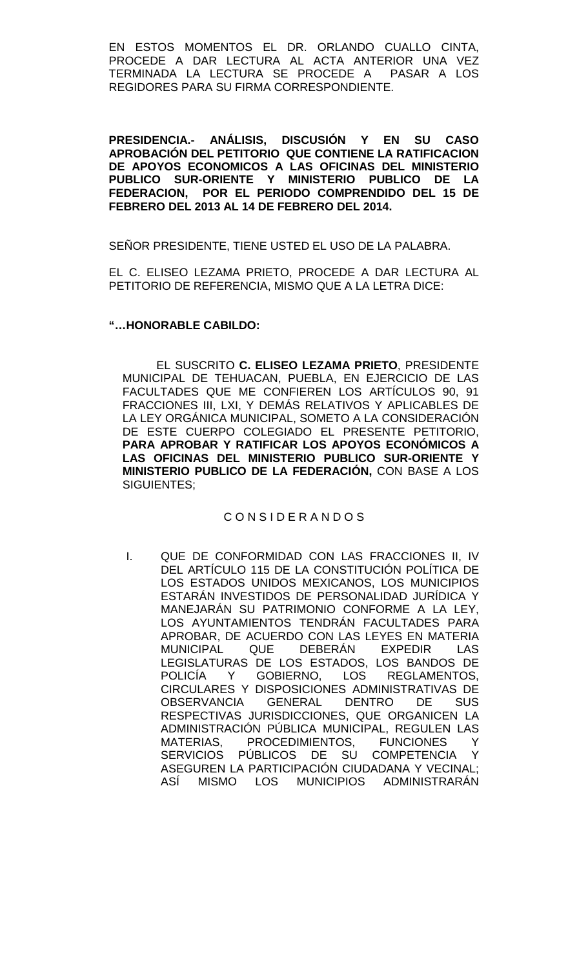EN ESTOS MOMENTOS EL DR. ORLANDO CUALLO CINTA, PROCEDE A DAR LECTURA AL ACTA ANTERIOR UNA VEZ TERMINADA LA LECTURA SE PROCEDE A PASAR A LOS REGIDORES PARA SU FIRMA CORRESPONDIENTE.

**PRESIDENCIA.- ANÁLISIS, DISCUSIÓN Y EN SU CASO APROBACIÓN DEL PETITORIO QUE CONTIENE LA RATIFICACION DE APOYOS ECONOMICOS A LAS OFICINAS DEL MINISTERIO PUBLICO SUR-ORIENTE Y MINISTERIO PUBLICO DE LA FEDERACION, POR EL PERIODO COMPRENDIDO DEL 15 DE FEBRERO DEL 2013 AL 14 DE FEBRERO DEL 2014.**

SEÑOR PRESIDENTE, TIENE USTED EL USO DE LA PALABRA.

EL C. ELISEO LEZAMA PRIETO, PROCEDE A DAR LECTURA AL PETITORIO DE REFERENCIA, MISMO QUE A LA LETRA DICE:

# **"…HONORABLE CABILDO:**

EL SUSCRITO **C. ELISEO LEZAMA PRIETO**, PRESIDENTE MUNICIPAL DE TEHUACAN, PUEBLA, EN EJERCICIO DE LAS FACULTADES QUE ME CONFIEREN LOS ARTÍCULOS 90, 91 FRACCIONES III, LXI, Y DEMÁS RELATIVOS Y APLICABLES DE LA LEY ORGÁNICA MUNICIPAL, SOMETO A LA CONSIDERACIÓN DE ESTE CUERPO COLEGIADO EL PRESENTE PETITORIO, **PARA APROBAR Y RATIFICAR LOS APOYOS ECONÓMICOS A LAS OFICINAS DEL MINISTERIO PUBLICO SUR-ORIENTE Y MINISTERIO PUBLICO DE LA FEDERACIÓN,** CON BASE A LOS SIGUIENTES;

# C O N S I D E R A N D O S

I. QUE DE CONFORMIDAD CON LAS FRACCIONES II, IV DEL ARTÍCULO 115 DE LA CONSTITUCIÓN POLÍTICA DE LOS ESTADOS UNIDOS MEXICANOS, LOS MUNICIPIOS ESTARÁN INVESTIDOS DE PERSONALIDAD JURÍDICA Y MANEJARÁN SU PATRIMONIO CONFORME A LA LEY, LOS AYUNTAMIENTOS TENDRÁN FACULTADES PARA APROBAR, DE ACUERDO CON LAS LEYES EN MATERIA MUNICIPAL QUE DEBERÁN EXPEDIR LAS LEGISLATURAS DE LOS ESTADOS, LOS BANDOS DE POLICÍA Y GOBIERNO, LOS REGLAMENTOS, CIRCULARES Y DISPOSICIONES ADMINISTRATIVAS DE OBSERVANCIA GENERAL DENTRO DE SUS RESPECTIVAS JURISDICCIONES, QUE ORGANICEN LA ADMINISTRACIÓN PÚBLICA MUNICIPAL, REGULEN LAS MATERIAS, PROCEDIMIENTOS, FUNCIONES Y SERVICIOS PÚBLICOS DE SU COMPETENCIA Y ASEGUREN LA PARTICIPACIÓN CIUDADANA Y VECINAL; ASÍ MISMO LOS MUNICIPIOS ADMINISTRARÁN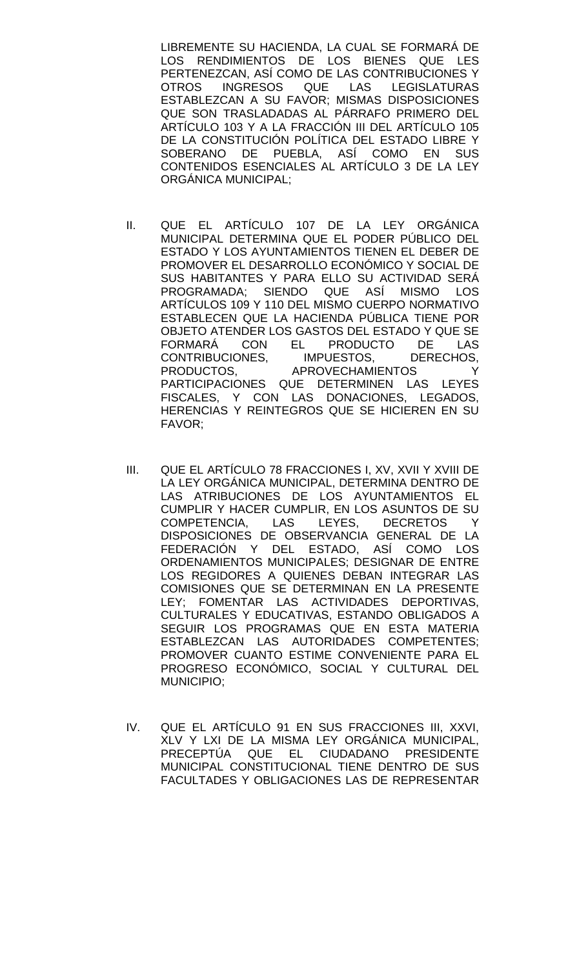LIBREMENTE SU HACIENDA, LA CUAL SE FORMARÁ DE LOS RENDIMIENTOS DE LOS BIENES QUE LES PERTENEZCAN, ASÍ COMO DE LAS CONTRIBUCIONES Y<br>OTROS INGRESOS QUE LAS LEGISLATURAS OTROS INGRESOS QUE LAS LEGISLATURAS ESTABLEZCAN A SU FAVOR; MISMAS DISPOSICIONES QUE SON TRASLADADAS AL PÁRRAFO PRIMERO DEL ARTÍCULO 103 Y A LA FRACCIÓN III DEL ARTÍCULO 105 DE LA CONSTITUCIÓN POLÍTICA DEL ESTADO LIBRE Y SOBERANO DE PUEBLA, ASÍ COMO EN SUS CONTENIDOS ESENCIALES AL ARTÍCULO 3 DE LA LEY ORGÁNICA MUNICIPAL;

- II. QUE EL ARTÍCULO 107 DE LA LEY ORGÁNICA MUNICIPAL DETERMINA QUE EL PODER PÚBLICO DEL ESTADO Y LOS AYUNTAMIENTOS TIENEN EL DEBER DE PROMOVER EL DESARROLLO ECONÓMICO Y SOCIAL DE SUS HABITANTES Y PARA ELLO SU ACTIVIDAD SERÁ PROGRAMADA; SIENDO QUE ASÍ MISMO LOS ARTÍCULOS 109 Y 110 DEL MISMO CUERPO NORMATIVO ESTABLECEN QUE LA HACIENDA PÚBLICA TIENE POR OBJETO ATENDER LOS GASTOS DEL ESTADO Y QUE SE FORMARÁ CON EL PRODUCTO DE LAS<br>CONTRIBUCIONES, IMPUESTOS, DERECHOS, CONTRIBUCIONES,<br>PRODUCTOS, APROVECHAMIENTOS Y PARTICIPACIONES QUE DETERMINEN LAS LEYES FISCALES, Y CON LAS DONACIONES, LEGADOS, HERENCIAS Y REINTEGROS QUE SE HICIEREN EN SU FAVOR;
- III. QUE EL ARTÍCULO 78 FRACCIONES I, XV, XVII Y XVIII DE LA LEY ORGÁNICA MUNICIPAL, DETERMINA DENTRO DE LAS ATRIBUCIONES DE LOS AYUNTAMIENTOS EL CUMPLIR Y HACER CUMPLIR, EN LOS ASUNTOS DE SU COMPETENCIA, LAS LEYES, DECRETOS Y DISPOSICIONES DE OBSERVANCIA GENERAL DE LA FEDERACIÓN Y DEL ESTADO, ASÍ COMO LOS ORDENAMIENTOS MUNICIPALES; DESIGNAR DE ENTRE LOS REGIDORES A QUIENES DEBAN INTEGRAR LAS COMISIONES QUE SE DETERMINAN EN LA PRESENTE LEY; FOMENTAR LAS ACTIVIDADES DEPORTIVAS, CULTURALES Y EDUCATIVAS, ESTANDO OBLIGADOS A SEGUIR LOS PROGRAMAS QUE EN ESTA MATERIA ESTABLEZCAN LAS AUTORIDADES COMPETENTES; PROMOVER CUANTO ESTIME CONVENIENTE PARA EL PROGRESO ECONÓMICO, SOCIAL Y CULTURAL DEL MUNICIPIO;
- IV. QUE EL ARTÍCULO 91 EN SUS FRACCIONES III, XXVI, XLV Y LXI DE LA MISMA LEY ORGÁNICA MUNICIPAL, PRECEPTÚA QUE EL CIUDADANO PRESIDENTE MUNICIPAL CONSTITUCIONAL TIENE DENTRO DE SUS FACULTADES Y OBLIGACIONES LAS DE REPRESENTAR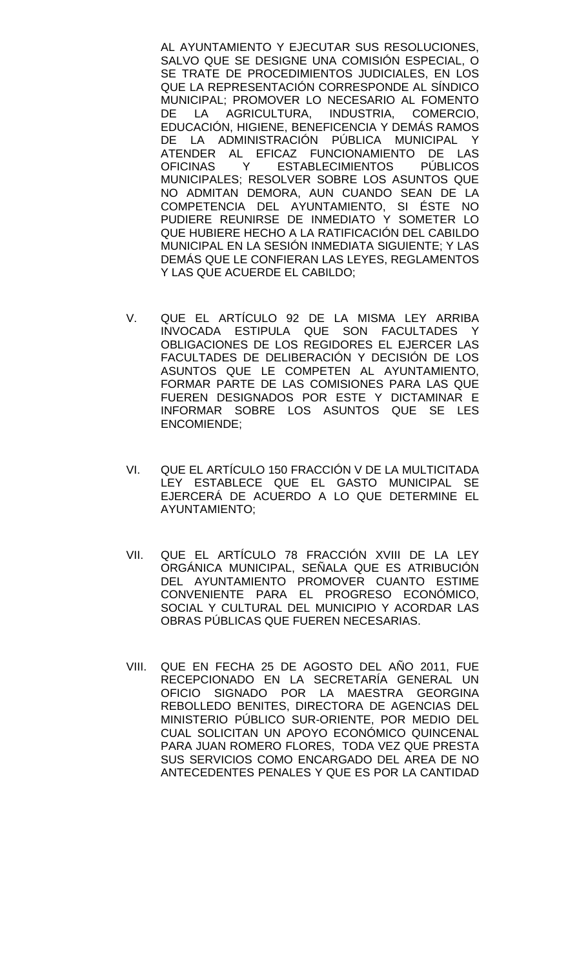AL AYUNTAMIENTO Y EJECUTAR SUS RESOLUCIONES, SALVO QUE SE DESIGNE UNA COMISIÓN ESPECIAL, O SE TRATE DE PROCEDIMIENTOS JUDICIALES, EN LOS QUE LA REPRESENTACIÓN CORRESPONDE AL SÍNDICO MUNICIPAL; PROMOVER LO NECESARIO AL FOMENTO DE LA AGRICULTURA, INDUSTRIA, COMERCIO, EDUCACIÓN, HIGIENE, BENEFICENCIA Y DEMÁS RAMOS DE LA ADMINISTRACIÓN PÚBLICA MUNICIPAL Y ATENDER AL EFICAZ FUNCIONAMIENTO DE LAS OFICINAS Y ESTABLECIMIENTOS PÚBLICOS MUNICIPALES; RESOLVER SOBRE LOS ASUNTOS QUE NO ADMITAN DEMORA, AUN CUANDO SEAN DE LA COMPETENCIA DEL AYUNTAMIENTO, SI ÉSTE NO PUDIERE REUNIRSE DE INMEDIATO Y SOMETER LO QUE HUBIERE HECHO A LA RATIFICACIÓN DEL CABILDO MUNICIPAL EN LA SESIÓN INMEDIATA SIGUIENTE; Y LAS DEMÁS QUE LE CONFIERAN LAS LEYES, REGLAMENTOS Y LAS QUE ACUERDE EL CABILDO;

- V. QUE EL ARTÍCULO 92 DE LA MISMA LEY ARRIBA INVOCADA ESTIPULA QUE SON FACULTADES Y OBLIGACIONES DE LOS REGIDORES EL EJERCER LAS FACULTADES DE DELIBERACIÓN Y DECISIÓN DE LOS ASUNTOS QUE LE COMPETEN AL AYUNTAMIENTO, FORMAR PARTE DE LAS COMISIONES PARA LAS QUE FUEREN DESIGNADOS POR ESTE Y DICTAMINAR E INFORMAR SOBRE LOS ASUNTOS QUE SE LES ENCOMIENDE;
- VI. QUE EL ARTÍCULO 150 FRACCIÓN V DE LA MULTICITADA LEY ESTABLECE QUE EL GASTO MUNICIPAL SE EJERCERÁ DE ACUERDO A LO QUE DETERMINE EL AYUNTAMIENTO;
- VII. QUE EL ARTÍCULO 78 FRACCIÓN XVIII DE LA LEY ORGÁNICA MUNICIPAL, SEÑALA QUE ES ATRIBUCIÓN DEL AYUNTAMIENTO PROMOVER CUANTO ESTIME CONVENIENTE PARA EL PROGRESO ECONÓMICO, SOCIAL Y CULTURAL DEL MUNICIPIO Y ACORDAR LAS OBRAS PÚBLICAS QUE FUEREN NECESARIAS.
- VIII. QUE EN FECHA 25 DE AGOSTO DEL AÑO 2011, FUE RECEPCIONADO EN LA SECRETARÍA GENERAL UN OFICIO SIGNADO POR LA MAESTRA GEORGINA REBOLLEDO BENITES, DIRECTORA DE AGENCIAS DEL MINISTERIO PÚBLICO SUR-ORIENTE, POR MEDIO DEL CUAL SOLICITAN UN APOYO ECONÓMICO QUINCENAL PARA JUAN ROMERO FLORES, TODA VEZ QUE PRESTA SUS SERVICIOS COMO ENCARGADO DEL AREA DE NO ANTECEDENTES PENALES Y QUE ES POR LA CANTIDAD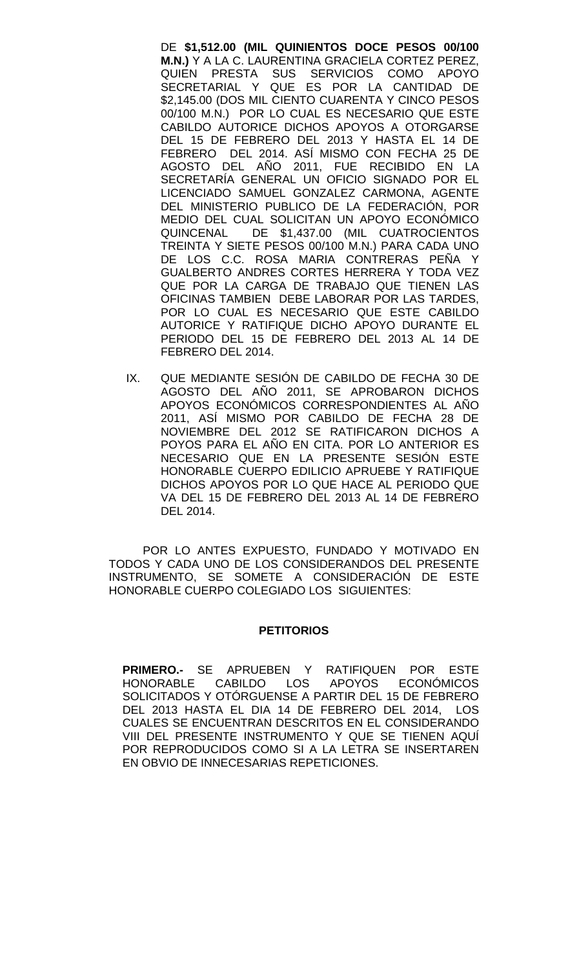DE **\$1,512.00 (MIL QUINIENTOS DOCE PESOS 00/100 M.N.)** Y A LA C. LAURENTINA GRACIELA CORTEZ PEREZ, QUIEN PRESTA SUS SERVICIOS COMO SECRETARIAL Y QUE ES POR LA CANTIDAD DE \$2,145.00 (DOS MIL CIENTO CUARENTA Y CINCO PESOS 00/100 M.N.) POR LO CUAL ES NECESARIO QUE ESTE CABILDO AUTORICE DICHOS APOYOS A OTORGARSE DEL 15 DE FEBRERO DEL 2013 Y HASTA EL 14 DE FEBRERO DEL 2014. ASÍ MISMO CON FECHA 25 DE AGOSTO DEL AÑO 2011, FUE RECIBIDO EN LA SECRETARÍA GENERAL UN OFICIO SIGNADO POR EL LICENCIADO SAMUEL GONZALEZ CARMONA, AGENTE DEL MINISTERIO PUBLICO DE LA FEDERACIÓN, POR MEDIO DEL CUAL SOLICITAN UN APOYO ECONÓMICO QUINCENAL DE \$1,437.00 (MIL CUATROCIENTOS TREINTA Y SIETE PESOS 00/100 M.N.) PARA CADA UNO DE LOS C.C. ROSA MARIA CONTRERAS PEÑA Y GUALBERTO ANDRES CORTES HERRERA Y TODA VEZ QUE POR LA CARGA DE TRABAJO QUE TIENEN LAS OFICINAS TAMBIEN DEBE LABORAR POR LAS TARDES, POR LO CUAL ES NECESARIO QUE ESTE CABILDO AUTORICE Y RATIFIQUE DICHO APOYO DURANTE EL PERIODO DEL 15 DE FEBRERO DEL 2013 AL 14 DE FEBRERO DEL 2014.

IX. QUE MEDIANTE SESIÓN DE CABILDO DE FECHA 30 DE AGOSTO DEL AÑO 2011, SE APROBARON DICHOS APOYOS ECONÓMICOS CORRESPONDIENTES AL AÑO 2011, ASÍ MISMO POR CABILDO DE FECHA 28 DE NOVIEMBRE DEL 2012 SE RATIFICARON DICHOS A POYOS PARA EL AÑO EN CITA. POR LO ANTERIOR ES NECESARIO QUE EN LA PRESENTE SESIÓN ESTE HONORABLE CUERPO EDILICIO APRUEBE Y RATIFIQUE DICHOS APOYOS POR LO QUE HACE AL PERIODO QUE VA DEL 15 DE FEBRERO DEL 2013 AL 14 DE FEBRERO DEL 2014.

POR LO ANTES EXPUESTO, FUNDADO Y MOTIVADO EN TODOS Y CADA UNO DE LOS CONSIDERANDOS DEL PRESENTE INSTRUMENTO, SE SOMETE A CONSIDERACIÓN DE ESTE HONORABLE CUERPO COLEGIADO LOS SIGUIENTES:

## **PETITORIOS**

**PRIMERO.-** SE APRUEBEN Y RATIFIQUEN POR ESTE<br>HONORABLE CABILDO LOS APOYOS ECONÓMICOS CABILDO LOS APOYOS ECONÓMICOS SOLICITADOS Y OTÓRGUENSE A PARTIR DEL 15 DE FEBRERO DEL 2013 HASTA EL DIA 14 DE FEBRERO DEL 2014, LOS CUALES SE ENCUENTRAN DESCRITOS EN EL CONSIDERANDO VIII DEL PRESENTE INSTRUMENTO Y QUE SE TIENEN AQUÍ POR REPRODUCIDOS COMO SI A LA LETRA SE INSERTAREN EN OBVIO DE INNECESARIAS REPETICIONES.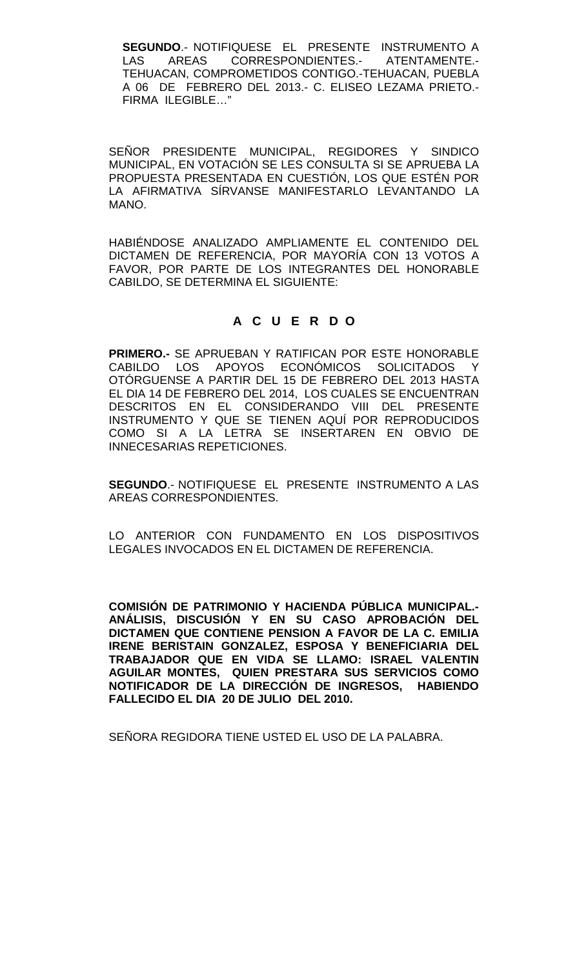**SEGUNDO**.- NOTIFIQUESE EL PRESENTE INSTRUMENTO A LAS AREAS CORRESPONDIENTES.- ATENTAMENTE.- TEHUACAN, COMPROMETIDOS CONTIGO.-TEHUACAN, PUEBLA A 06 DE FEBRERO DEL 2013.- C. ELISEO LEZAMA PRIETO.- FIRMA ILEGIBLE…"

SEÑOR PRESIDENTE MUNICIPAL, REGIDORES Y SINDICO MUNICIPAL, EN VOTACIÓN SE LES CONSULTA SI SE APRUEBA LA PROPUESTA PRESENTADA EN CUESTIÓN, LOS QUE ESTÉN POR LA AFIRMATIVA SÍRVANSE MANIFESTARLO LEVANTANDO LA MANO.

HABIÉNDOSE ANALIZADO AMPLIAMENTE EL CONTENIDO DEL DICTAMEN DE REFERENCIA, POR MAYORÍA CON 13 VOTOS A FAVOR, POR PARTE DE LOS INTEGRANTES DEL HONORABLE CABILDO, SE DETERMINA EL SIGUIENTE:

# **A C U E R D O**

**PRIMERO.-** SE APRUEBAN Y RATIFICAN POR ESTE HONORABLE CABILDO LOS APOYOS ECONÓMICOS SOLICITADOS Y OTÓRGUENSE A PARTIR DEL 15 DE FEBRERO DEL 2013 HASTA EL DIA 14 DE FEBRERO DEL 2014, LOS CUALES SE ENCUENTRAN DESCRITOS EN EL CONSIDERANDO VIII DEL PRESENTE INSTRUMENTO Y QUE SE TIENEN AQUÍ POR REPRODUCIDOS COMO SI A LA LETRA SE INSERTAREN EN OBVIO DE INNECESARIAS REPETICIONES.

**SEGUNDO**.- NOTIFIQUESE EL PRESENTE INSTRUMENTO A LAS AREAS CORRESPONDIENTES.

LO ANTERIOR CON FUNDAMENTO EN LOS DISPOSITIVOS LEGALES INVOCADOS EN EL DICTAMEN DE REFERENCIA.

**COMISIÓN DE PATRIMONIO Y HACIENDA PÚBLICA MUNICIPAL.- ANÁLISIS, DISCUSIÓN Y EN SU CASO APROBACIÓN DEL DICTAMEN QUE CONTIENE PENSION A FAVOR DE LA C. EMILIA IRENE BERISTAIN GONZALEZ, ESPOSA Y BENEFICIARIA DEL TRABAJADOR QUE EN VIDA SE LLAMO: ISRAEL VALENTIN AGUILAR MONTES, QUIEN PRESTARA SUS SERVICIOS COMO NOTIFICADOR DE LA DIRECCIÓN DE INGRESOS, HABIENDO FALLECIDO EL DIA 20 DE JULIO DEL 2010.**

SEÑORA REGIDORA TIENE USTED EL USO DE LA PALABRA.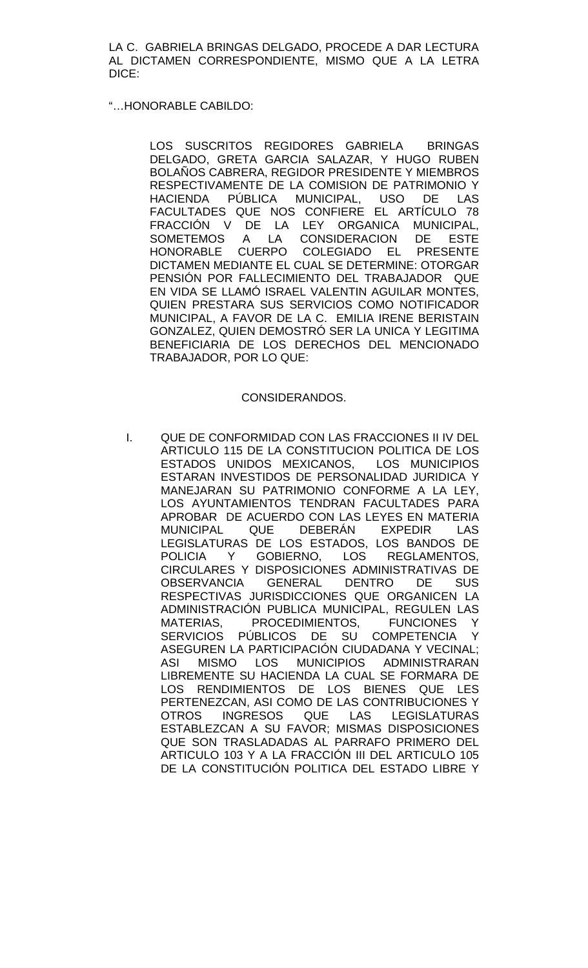LA C. GABRIELA BRINGAS DELGADO, PROCEDE A DAR LECTURA AL DICTAMEN CORRESPONDIENTE, MISMO QUE A LA LETRA DICE:

# "…HONORABLE CABILDO:

LOS SUSCRITOS REGIDORES GABRIELA BRINGAS DELGADO, GRETA GARCIA SALAZAR, Y HUGO RUBEN BOLAÑOS CABRERA, REGIDOR PRESIDENTE Y MIEMBROS RESPECTIVAMENTE DE LA COMISION DE PATRIMONIO Y HACIENDA PÚBLICA MUNICIPAL, USO DE LAS FACULTADES QUE NOS CONFIERE EL ARTÍCULO 78 FRACCIÓN V DE LA LEY ORGANICA MUNICIPAL, SOMETEMOS A LA CONSIDERACION DE ESTE HONORABLE CUERPO COLEGIADO EL PRESENTE DICTAMEN MEDIANTE EL CUAL SE DETERMINE: OTORGAR PENSIÓN POR FALLECIMIENTO DEL TRABAJADOR QUE EN VIDA SE LLAMÓ ISRAEL VALENTIN AGUILAR MONTES, QUIEN PRESTARA SUS SERVICIOS COMO NOTIFICADOR MUNICIPAL, A FAVOR DE LA C. EMILIA IRENE BERISTAIN GONZALEZ, QUIEN DEMOSTRÓ SER LA UNICA Y LEGITIMA BENEFICIARIA DE LOS DERECHOS DEL MENCIONADO TRABAJADOR, POR LO QUE:

## CONSIDERANDOS.

I. QUE DE CONFORMIDAD CON LAS FRACCIONES II IV DEL ARTICULO 115 DE LA CONSTITUCION POLITICA DE LOS ESTADOS UNIDOS MEXICANOS, LOS MUNICIPIOS ESTARAN INVESTIDOS DE PERSONALIDAD JURIDICA Y MANEJARAN SU PATRIMONIO CONFORME A LA LEY, LOS AYUNTAMIENTOS TENDRAN FACULTADES PARA APROBAR DE ACUERDO CON LAS LEYES EN MATERIA<br>MUNICIPAI QUE DEBERÁN EXPEDIR LAS MUNICIPAL QUE DEBERÁN LEGISLATURAS DE LOS ESTADOS, LOS BANDOS DE<br>POLICIA Y GOBIERNO, LOS REGLAMENTOS, POLICIA Y GOBIERNO, LOS CIRCULARES Y DISPOSICIONES ADMINISTRATIVAS DE OBSERVANCIA GENERAL DENTRO DE SUS RESPECTIVAS JURISDICCIONES QUE ORGANICEN LA ADMINISTRACIÓN PUBLICA MUNICIPAL, REGULEN LAS<br>MATERIAS, PROCEDIMIENTOS, FUNCIONES Y PROCEDIMIENTOS, FUNCIONES Y SERVICIOS PÚBLICOS DE SU COMPETENCIA Y ASEGUREN LA PARTICIPACIÓN CIUDADANA Y VECINAL;<br>ASI MISMO LOS MUNICIPIOS ADMINISTRARAN ASI MISMO LOS MUNICIPIOS LIBREMENTE SU HACIENDA LA CUAL SE FORMARA DE LOS RENDIMIENTOS DE LOS BIENES QUE LES PERTENEZCAN, ASI COMO DE LAS CONTRIBUCIONES Y OTROS INGRESOS QUE LAS LEGISLATURAS ESTABLEZCAN A SU FAVOR; MISMAS DISPOSICIONES QUE SON TRASLADADAS AL PARRAFO PRIMERO DEL ARTICULO 103 Y A LA FRACCIÓN III DEL ARTICULO 105 DE LA CONSTITUCIÓN POLITICA DEL ESTADO LIBRE Y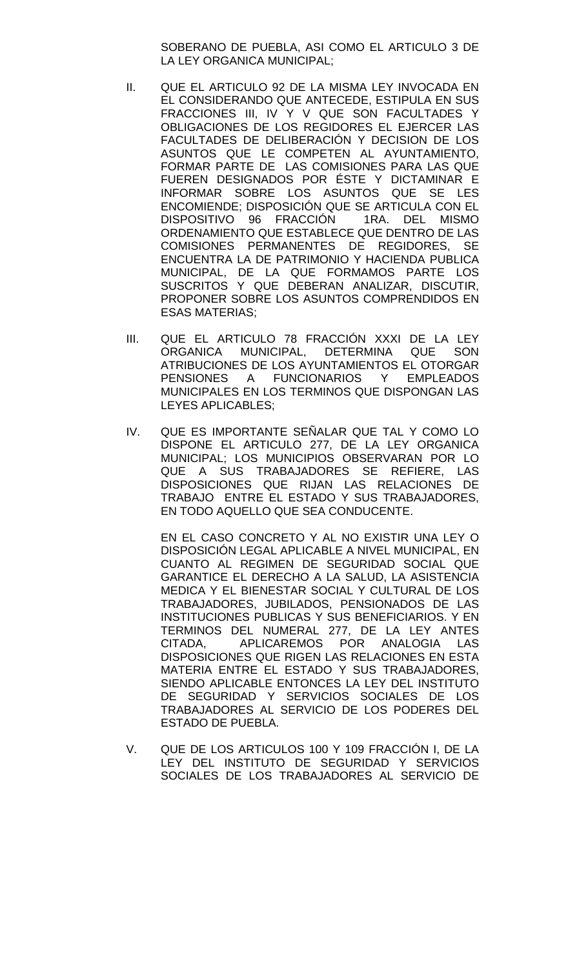SOBERANO DE PUEBLA, ASI COMO EL ARTICULO 3 DE LA LEY ORGANICA MUNICIPAL;

- II. QUE EL ARTICULO 92 DE LA MISMA LEY INVOCADA EN EL CONSIDERANDO QUE ANTECEDE, ESTIPULA EN SUS FRACCIONES III, IV Y V QUE SON FACULTADES Y OBLIGACIONES DE LOS REGIDORES EL EJERCER LAS FACULTADES DE DELIBERACIÓN Y DECISION DE LOS ASUNTOS QUE LE COMPETEN AL AYUNTAMIENTO, FORMAR PARTE DE LAS COMISIONES PARA LAS QUE FUEREN DESIGNADOS POR ÉSTE Y DICTAMINAR E INFORMAR SOBRE LOS ASUNTOS QUE SE LES ENCOMIENDE; DISPOSICIÓN QUE SE ARTICULA CON EL DISPOSITIVO 96 FRACCIÓN 1RA. DEL MISMO ORDENAMIENTO QUE ESTABLECE QUE DENTRO DE LAS COMISIONES PERMANENTES DE REGIDORES, SE ENCUENTRA LA DE PATRIMONIO Y HACIENDA PUBLICA MUNICIPAL, DE LA QUE FORMAMOS PARTE LOS SUSCRITOS Y QUE DEBERAN ANALIZAR, DISCUTIR, PROPONER SOBRE LOS ASUNTOS COMPRENDIDOS EN ESAS MATERIAS;
- III. QUE EL ARTICULO 78 FRACCIÓN XXXI DE LA LEY ORGANICA MUNICIPAL, DETERMINA QUE SON ATRIBUCIONES DE LOS AYUNTAMIENTOS EL OTORGAR<br>PENSIONES A FUNCIONARIOS Y EMPLEADOS A FUNCIONARIOS Y EMPLEADOS MUNICIPALES EN LOS TERMINOS QUE DISPONGAN LAS LEYES APLICABLES;
- IV. QUE ES IMPORTANTE SEÑALAR QUE TAL Y COMO LO DISPONE EL ARTICULO 277, DE LA LEY ORGANICA MUNICIPAL; LOS MUNICIPIOS OBSERVARAN POR LO QUE A SUS TRABAJADORES SE REFIERE, LAS DISPOSICIONES QUE RIJAN LAS RELACIONES DE TRABAJO ENTRE EL ESTADO Y SUS TRABAJADORES, EN TODO AQUELLO QUE SEA CONDUCENTE.

EN EL CASO CONCRETO Y AL NO EXISTIR UNA LEY O DISPOSICIÓN LEGAL APLICABLE A NIVEL MUNICIPAL, EN CUANTO AL REGIMEN DE SEGURIDAD SOCIAL QUE GARANTICE EL DERECHO A LA SALUD, LA ASISTENCIA MEDICA Y EL BIENESTAR SOCIAL Y CULTURAL DE LOS TRABAJADORES, JUBILADOS, PENSIONADOS DE LAS INSTITUCIONES PUBLICAS Y SUS BENEFICIARIOS. Y EN TERMINOS DEL NUMERAL 277, DE LA LEY ANTES CITADA, APLICAREMOS POR ANALOGIA LAS DISPOSICIONES QUE RIGEN LAS RELACIONES EN ESTA MATERIA ENTRE EL ESTADO Y SUS TRABAJADORES, SIENDO APLICABLE ENTONCES LA LEY DEL INSTITUTO DE SEGURIDAD Y SERVICIOS SOCIALES DE LOS TRABAJADORES AL SERVICIO DE LOS PODERES DEL ESTADO DE PUEBLA.

V. QUE DE LOS ARTICULOS 100 Y 109 FRACCIÓN I, DE LA LEY DEL INSTITUTO DE SEGURIDAD Y SERVICIOS SOCIALES DE LOS TRABAJADORES AL SERVICIO DE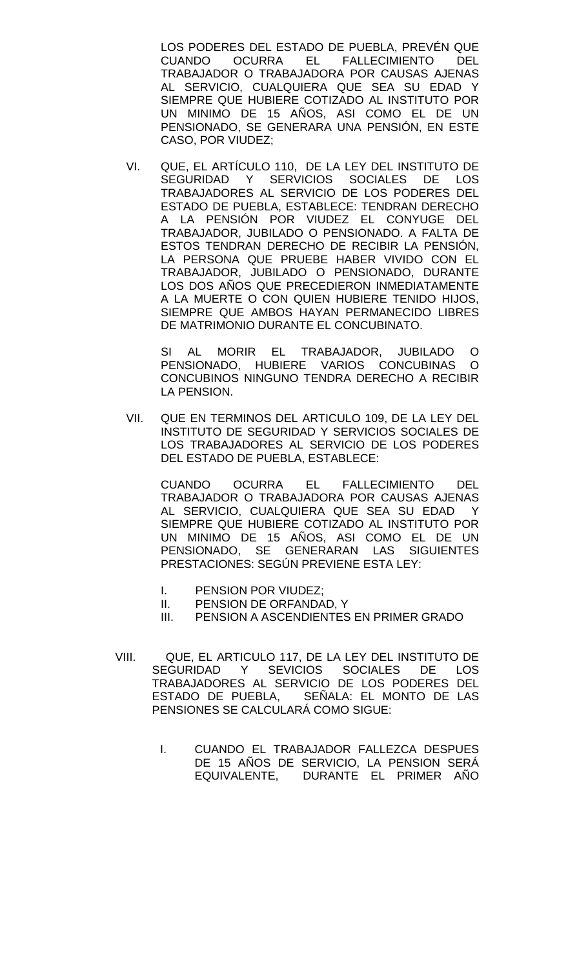LOS PODERES DEL ESTADO DE PUEBLA, PREVÉN QUE CUANDO OCURRA EL FALLECIMIENTO DEL TRABAJADOR O TRABAJADORA POR CAUSAS AJENAS AL SERVICIO, CUALQUIERA QUE SEA SU EDAD Y SIEMPRE QUE HUBIERE COTIZADO AL INSTITUTO POR UN MINIMO DE 15 AÑOS, ASI COMO EL DE UN PENSIONADO, SE GENERARA UNA PENSIÓN, EN ESTE CASO, POR VIUDEZ;

VI. QUE, EL ARTÍCULO 110, DE LA LEY DEL INSTITUTO DE SEGURIDAD Y SERVICIOS SOCIALES DE LOS TRABAJADORES AL SERVICIO DE LOS PODERES DEL ESTADO DE PUEBLA, ESTABLECE: TENDRAN DERECHO A LA PENSIÓN POR VIUDEZ EL CONYUGE DEL TRABAJADOR, JUBILADO O PENSIONADO. A FALTA DE ESTOS TENDRAN DERECHO DE RECIBIR LA PENSIÓN, LA PERSONA QUE PRUEBE HABER VIVIDO CON EL TRABAJADOR, JUBILADO O PENSIONADO, DURANTE LOS DOS AÑOS QUE PRECEDIERON INMEDIATAMENTE A LA MUERTE O CON QUIEN HUBIERE TENIDO HIJOS, SIEMPRE QUE AMBOS HAYAN PERMANECIDO LIBRES DE MATRIMONIO DURANTE EL CONCUBINATO.

SI AL MORIR EL TRABAJADOR, JUBILADO O PENSIONADO, HUBIERE VARIOS CONCUBINAS O CONCUBINOS NINGUNO TENDRA DERECHO A RECIBIR LA PENSION.

VII. QUE EN TERMINOS DEL ARTICULO 109, DE LA LEY DEL INSTITUTO DE SEGURIDAD Y SERVICIOS SOCIALES DE LOS TRABAJADORES AL SERVICIO DE LOS PODERES DEL ESTADO DE PUEBLA, ESTABLECE:

CUANDO OCURRA EL FALLECIMIENTO DEL TRABAJADOR O TRABAJADORA POR CAUSAS AJENAS AL SERVICIO, CUALQUIERA QUE SEA SU EDAD Y SIEMPRE QUE HUBIERE COTIZADO AL INSTITUTO POR UN MINIMO DE 15 AÑOS, ASI COMO EL DE UN PENSIONADO, SE GENERARAN LAS SIGUIENTES PRESTACIONES: SEGÚN PREVIENE ESTA LEY:

- I. PENSION POR VIUDEZ;
- II. PENSION DE ORFANDAD, Y<br>III. PENSION A ASCENDIENTES
- PENSION A ASCENDIENTES EN PRIMER GRADO
- VIII. QUE, EL ARTICULO 117, DE LA LEY DEL INSTITUTO DE SEGURIDAD Y SEVICIOS SOCIALES DE LOS TRABAJADORES AL SERVICIO DE LOS PODERES DEL ESTADO DE PUEBLA, SEÑALA: EL MONTO DE LAS PENSIONES SE CALCULARÁ COMO SIGUE:
	- I. CUANDO EL TRABAJADOR FALLEZCA DESPUES DE 15 AÑOS DE SERVICIO, LA PENSION SERÁ EQUIVALENTE, DURANTE EL PRIMER AÑO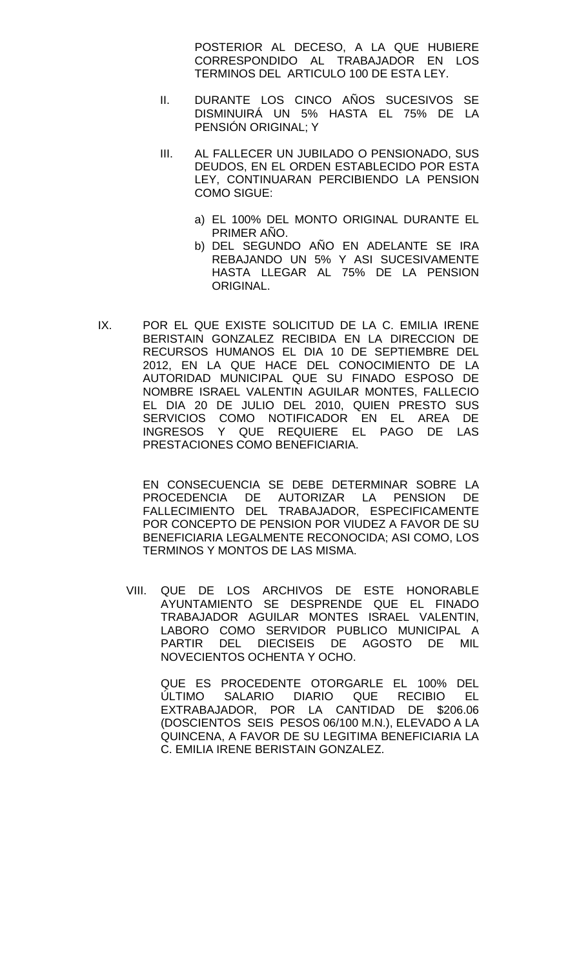POSTERIOR AL DECESO, A LA QUE HUBIERE CORRESPONDIDO AL TRABAJADOR EN LOS TERMINOS DEL ARTICULO 100 DE ESTA LEY.

- II. DURANTE LOS CINCO AÑOS SUCESIVOS SE DISMINUIRÁ UN 5% HASTA EL 75% DE LA PENSIÓN ORIGINAL; Y
- III. AL FALLECER UN JUBILADO O PENSIONADO, SUS DEUDOS, EN EL ORDEN ESTABLECIDO POR ESTA LEY, CONTINUARAN PERCIBIENDO LA PENSION COMO SIGUE:
	- a) EL 100% DEL MONTO ORIGINAL DURANTE EL PRIMER AÑO.
	- b) DEL SEGUNDO AÑO EN ADELANTE SE IRA REBAJANDO UN 5% Y ASI SUCESIVAMENTE HASTA LLEGAR AL 75% DE LA PENSION ORIGINAL.
- IX. POR EL QUE EXISTE SOLICITUD DE LA C. EMILIA IRENE BERISTAIN GONZALEZ RECIBIDA EN LA DIRECCION DE RECURSOS HUMANOS EL DIA 10 DE SEPTIEMBRE DEL 2012, EN LA QUE HACE DEL CONOCIMIENTO DE LA AUTORIDAD MUNICIPAL QUE SU FINADO ESPOSO DE NOMBRE ISRAEL VALENTIN AGUILAR MONTES, FALLECIO EL DIA 20 DE JULIO DEL 2010, QUIEN PRESTO SUS SERVICIOS COMO NOTIFICADOR EN EL AREA DE INGRESOS Y QUE REQUIERE EL PAGO DE LAS PRESTACIONES COMO BENEFICIARIA.

EN CONSECUENCIA SE DEBE DETERMINAR SOBRE LA PROCEDENCIA DE AUTORIZAR LA PENSION DE FALLECIMIENTO DEL TRABAJADOR, ESPECIFICAMENTE POR CONCEPTO DE PENSION POR VIUDEZ A FAVOR DE SU BENEFICIARIA LEGALMENTE RECONOCIDA; ASI COMO, LOS TERMINOS Y MONTOS DE LAS MISMA.

VIII. QUE DE LOS ARCHIVOS DE ESTE HONORABLE AYUNTAMIENTO SE DESPRENDE QUE EL FINADO TRABAJADOR AGUILAR MONTES ISRAEL VALENTIN, LABORO COMO SERVIDOR PUBLICO MUNICIPAL A PARTIR DEL DIECISEIS DE AGOSTO DE MIL NOVECIENTOS OCHENTA Y OCHO.

QUE ES PROCEDENTE OTORGARLE EL 100% DEL ÚLTIMO SALARIO DIARIO QUE RECIBIO EL EXTRABAJADOR, POR LA CANTIDAD DE \$206.06 (DOSCIENTOS SEIS PESOS 06/100 M.N.), ELEVADO A LA QUINCENA, A FAVOR DE SU LEGITIMA BENEFICIARIA LA C. EMILIA IRENE BERISTAIN GONZALEZ.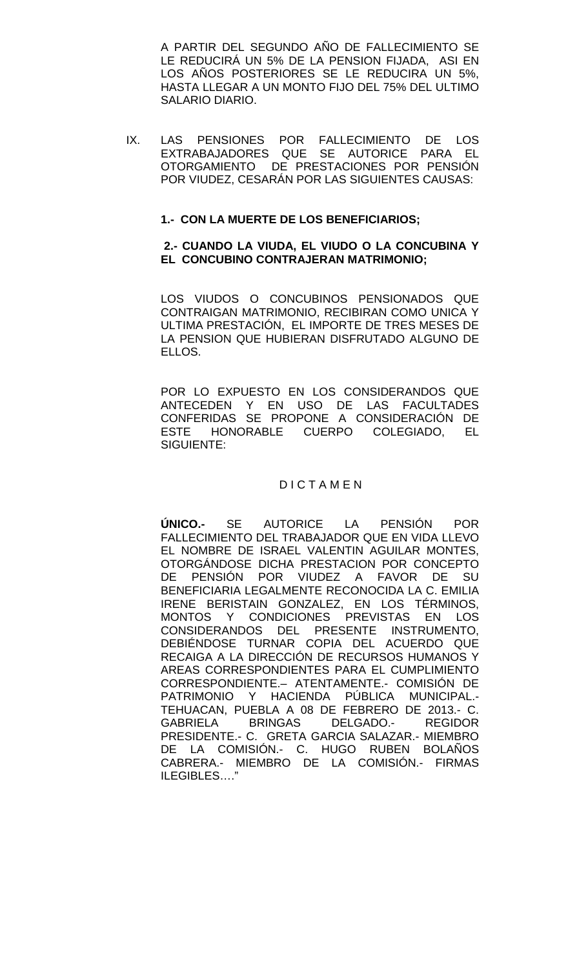A PARTIR DEL SEGUNDO AÑO DE FALLECIMIENTO SE LE REDUCIRÁ UN 5% DE LA PENSION FIJADA, ASI EN LOS AÑOS POSTERIORES SE LE REDUCIRA UN 5%, HASTA LLEGAR A UN MONTO FIJO DEL 75% DEL ULTIMO SALARIO DIARIO.

IX. LAS PENSIONES POR FALLECIMIENTO DE LOS EXTRABAJADORES QUE SE AUTORICE PARA EL OTORGAMIENTO DE PRESTACIONES POR PENSIÓN POR VIUDEZ, CESARÁN POR LAS SIGUIENTES CAUSAS:

## **1.- CON LA MUERTE DE LOS BENEFICIARIOS;**

### **2.- CUANDO LA VIUDA, EL VIUDO O LA CONCUBINA Y EL CONCUBINO CONTRAJERAN MATRIMONIO;**

LOS VIUDOS O CONCUBINOS PENSIONADOS QUE CONTRAIGAN MATRIMONIO, RECIBIRAN COMO UNICA Y ULTIMA PRESTACIÓN, EL IMPORTE DE TRES MESES DE LA PENSION QUE HUBIERAN DISFRUTADO ALGUNO DE ELLOS.

POR LO EXPUESTO EN LOS CONSIDERANDOS QUE ANTECEDEN Y EN USO DE LAS FACULTADES CONFERIDAS SE PROPONE A CONSIDERACIÓN DE ESTE HONORABLE CUERPO COLEGIADO, EL SIGUIENTE:

# **DICTAMEN**

**ÚNICO.-** SE AUTORICE LA PENSIÓN POR FALLECIMIENTO DEL TRABAJADOR QUE EN VIDA LLEVO EL NOMBRE DE ISRAEL VALENTIN AGUILAR MONTES, OTORGÁNDOSE DICHA PRESTACION POR CONCEPTO DE PENSIÓN POR VIUDEZ A FAVOR DE SU BENEFICIARIA LEGALMENTE RECONOCIDA LA C. EMILIA IRENE BERISTAIN GONZALEZ, EN LOS TÉRMINOS, MONTOS Y CONDICIONES PREVISTAS EN LOS CONSIDERANDOS DEL PRESENTE INSTRUMENTO, DEBIÉNDOSE TURNAR COPIA DEL ACUERDO QUE RECAIGA A LA DIRECCIÓN DE RECURSOS HUMANOS Y AREAS CORRESPONDIENTES PARA EL CUMPLIMIENTO CORRESPONDIENTE.– ATENTAMENTE.- COMISIÓN DE PATRIMONIO Y HACIENDA PÚBLICA MUNICIPAL.- TEHUACAN, PUEBLA A 08 DE FEBRERO DE 2013.- C. GABRIELA BRINGAS DELGADO.- REGIDOR PRESIDENTE.- C. GRETA GARCIA SALAZAR.- MIEMBRO DE LA COMISIÓN.- C. HUGO RUBEN BOLAÑOS CABRERA.- MIEMBRO DE LA COMISIÓN.- FIRMAS ILEGIBLES…."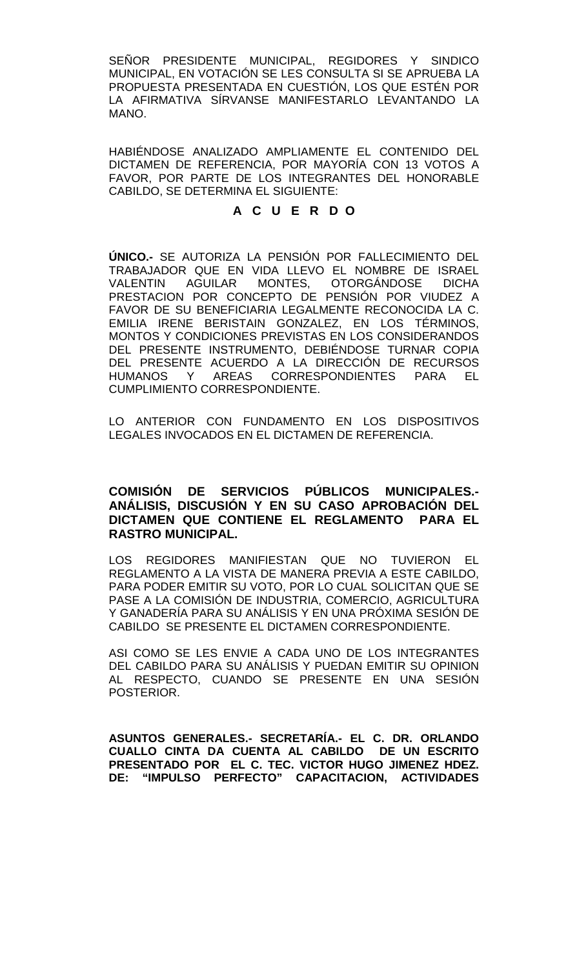SEÑOR PRESIDENTE MUNICIPAL, REGIDORES Y SINDICO MUNICIPAL, EN VOTACIÓN SE LES CONSULTA SI SE APRUEBA LA PROPUESTA PRESENTADA EN CUESTIÓN, LOS QUE ESTÉN POR LA AFIRMATIVA SÍRVANSE MANIFESTARLO LEVANTANDO LA MANO.

HABIÉNDOSE ANALIZADO AMPLIAMENTE EL CONTENIDO DEL DICTAMEN DE REFERENCIA, POR MAYORÍA CON 13 VOTOS A FAVOR, POR PARTE DE LOS INTEGRANTES DEL HONORABLE CABILDO, SE DETERMINA EL SIGUIENTE:

# **A C U E R D O**

**ÚNICO.-** SE AUTORIZA LA PENSIÓN POR FALLECIMIENTO DEL TRABAJADOR QUE EN VIDA LLEVO EL NOMBRE DE ISRAEL VALENTIN AGUILAR MONTES, OTORGÁNDOSE DICHA PRESTACION POR CONCEPTO DE PENSIÓN POR VIUDEZ A FAVOR DE SU BENEFICIARIA LEGALMENTE RECONOCIDA LA C. EMILIA IRENE BERISTAIN GONZALEZ, EN LOS TÉRMINOS, MONTOS Y CONDICIONES PREVISTAS EN LOS CONSIDERANDOS DEL PRESENTE INSTRUMENTO, DEBIÉNDOSE TURNAR COPIA DEL PRESENTE ACUERDO A LA DIRECCIÓN DE RECURSOS<br>HUMANOS Y ARFAS CORRESPONDIENTES PARA FI HUMANOS Y AREAS CORRESPONDIENTES PARA CUMPLIMIENTO CORRESPONDIENTE.

LO ANTERIOR CON FUNDAMENTO EN LOS DISPOSITIVOS LEGALES INVOCADOS EN EL DICTAMEN DE REFERENCIA.

# **COMISIÓN DE SERVICIOS PÚBLICOS MUNICIPALES.- ANÁLISIS, DISCUSIÓN Y EN SU CASO APROBACIÓN DEL DICTAMEN QUE CONTIENE EL REGLAMENTO PARA EL RASTRO MUNICIPAL.**

LOS REGIDORES MANIFIESTAN QUE NO TUVIERON EL REGLAMENTO A LA VISTA DE MANERA PREVIA A ESTE CABILDO, PARA PODER EMITIR SU VOTO, POR LO CUAL SOLICITAN QUE SE PASE A LA COMISIÓN DE INDUSTRIA, COMERCIO, AGRICULTURA Y GANADERÍA PARA SU ANÁLISIS Y EN UNA PRÓXIMA SESIÓN DE CABILDO SE PRESENTE EL DICTAMEN CORRESPONDIENTE.

ASI COMO SE LES ENVIE A CADA UNO DE LOS INTEGRANTES DEL CABILDO PARA SU ANÁLISIS Y PUEDAN EMITIR SU OPINION AL RESPECTO, CUANDO SE PRESENTE EN UNA SESIÓN POSTERIOR.

**ASUNTOS GENERALES.- SECRETARÍA.- EL C. DR. ORLANDO CUALLO CINTA DA CUENTA AL CABILDO DE UN ESCRITO PRESENTADO POR EL C. TEC. VICTOR HUGO JIMENEZ HDEZ. DE: "IMPULSO PERFECTO" CAPACITACION, ACTIVIDADES**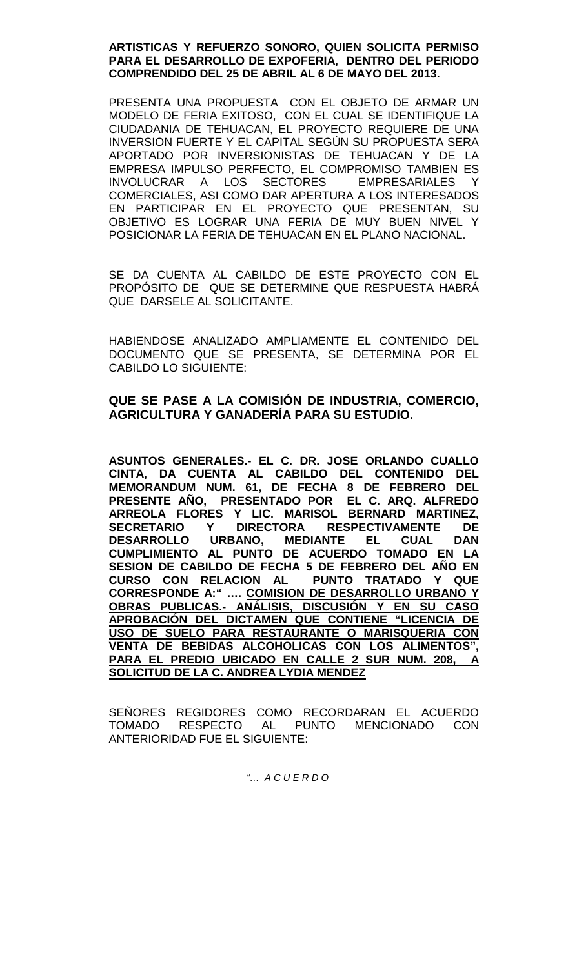## **ARTISTICAS Y REFUERZO SONORO, QUIEN SOLICITA PERMISO PARA EL DESARROLLO DE EXPOFERIA, DENTRO DEL PERIODO COMPRENDIDO DEL 25 DE ABRIL AL 6 DE MAYO DEL 2013.**

PRESENTA UNA PROPUESTA CON EL OBJETO DE ARMAR UN MODELO DE FERIA EXITOSO, CON EL CUAL SE IDENTIFIQUE LA CIUDADANIA DE TEHUACAN, EL PROYECTO REQUIERE DE UNA INVERSION FUERTE Y EL CAPITAL SEGÚN SU PROPUESTA SERA APORTADO POR INVERSIONISTAS DE TEHUACAN Y DE LA EMPRESA IMPULSO PERFECTO, EL COMPROMISO TAMBIEN ES INVOLUCRAR A LOS SECTORES EMPRESARIALES Y COMERCIALES, ASI COMO DAR APERTURA A LOS INTERESADOS EN PARTICIPAR EN EL PROYECTO QUE PRESENTAN, SU OBJETIVO ES LOGRAR UNA FERIA DE MUY BUEN NIVEL Y POSICIONAR LA FERIA DE TEHUACAN EN EL PLANO NACIONAL.

SE DA CUENTA AL CABILDO DE ESTE PROYECTO CON EL PROPÓSITO DE QUE SE DETERMINE QUE RESPUESTA HABRÁ QUE DARSELE AL SOLICITANTE.

HABIENDOSE ANALIZADO AMPLIAMENTE EL CONTENIDO DEL DOCUMENTO QUE SE PRESENTA, SE DETERMINA POR EL CABILDO LO SIGUIENTE:

# **QUE SE PASE A LA COMISIÓN DE INDUSTRIA, COMERCIO, AGRICULTURA Y GANADERÍA PARA SU ESTUDIO.**

**ASUNTOS GENERALES.- EL C. DR. JOSE ORLANDO CUALLO CINTA, DA CUENTA AL CABILDO DEL CONTENIDO DEL MEMORANDUM NUM. 61, DE FECHA 8 DE FEBRERO DEL PRESENTE AÑO, PRESENTADO POR EL C. ARQ. ALFREDO ARREOLA FLORES Y LIC. MARISOL BERNARD MARTINEZ, SECRETARIO Y DIRECTORA RESPECTIVAMENTE DE**  URBANO, MEDIANTE EL CUAL DAN **CUMPLIMIENTO AL PUNTO DE ACUERDO TOMADO EN LA SESION DE CABILDO DE FECHA 5 DE FEBRERO DEL AÑO EN CURSO CON RELACION AL PUNTO TRATADO Y QUE CORRESPONDE A:" …. COMISION DE DESARROLLO URBANO Y OBRAS PUBLICAS.- ANÁLISIS, DISCUSIÓN Y EN SU CASO APROBACIÓN DEL DICTAMEN QUE CONTIENE "LICENCIA DE USO DE SUELO PARA RESTAURANTE O MARISQUERIA CON VENTA DE BEBIDAS ALCOHOLICAS CON LOS ALIMENTOS", PARA EL PREDIO UBICADO EN CALLE 2 SUR NUM. 208, A SOLICITUD DE LA C. ANDREA LYDIA MENDEZ** 

SENORES REGIDORES COMO RECORDARAN EL ACUERDO TOMADO RESPECTO AL PUNTO MENCIONADO CON ANTERIORIDAD FUE EL SIGUIENTE:

*"… A C U E R D O*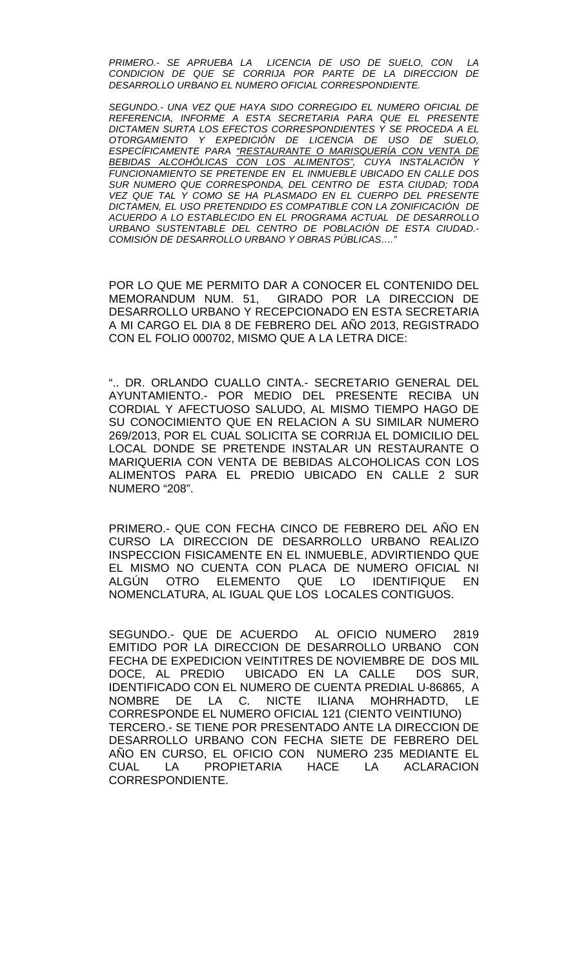*PRIMERO.- SE APRUEBA LA LICENCIA DE USO DE SUELO, CON LA CONDICION DE QUE SE CORRIJA POR PARTE DE LA DIRECCION DE DESARROLLO URBANO EL NUMERO OFICIAL CORRESPONDIENTE.*

*SEGUNDO.- UNA VEZ QUE HAYA SIDO CORREGIDO EL NUMERO OFICIAL DE REFERENCIA, INFORME A ESTA SECRETARIA PARA QUE EL PRESENTE DICTAMEN SURTA LOS EFECTOS CORRESPONDIENTES Y SE PROCEDA A EL OTORGAMIENTO Y EXPEDICIÓN DE LICENCIA DE USO DE SUELO, ESPECÍFICAMENTE PARA "RESTAURANTE O MARISQUERÍA CON VENTA DE BEBIDAS ALCOHÓLICAS CON LOS ALIMENTOS", CUYA INSTALACIÓN Y FUNCIONAMIENTO SE PRETENDE EN EL INMUEBLE UBICADO EN CALLE DOS SUR NUMERO QUE CORRESPONDA, DEL CENTRO DE ESTA CIUDAD; TODA VEZ QUE TAL Y COMO SE HA PLASMADO EN EL CUERPO DEL PRESENTE DICTAMEN, EL USO PRETENDIDO ES COMPATIBLE CON LA ZONIFICACIÓN DE ACUERDO A LO ESTABLECIDO EN EL PROGRAMA ACTUAL DE DESARROLLO URBANO SUSTENTABLE DEL CENTRO DE POBLACIÓN DE ESTA CIUDAD.- COMISIÓN DE DESARROLLO URBANO Y OBRAS PÚBLICAS…."*

POR LO QUE ME PERMITO DAR A CONOCER EL CONTENIDO DEL MEMORANDUM NUM. 51, GIRADO POR LA DIRECCION DE DESARROLLO URBANO Y RECEPCIONADO EN ESTA SECRETARIA A MI CARGO EL DIA 8 DE FEBRERO DEL AÑO 2013, REGISTRADO CON EL FOLIO 000702, MISMO QUE A LA LETRA DICE:

".. DR. ORLANDO CUALLO CINTA.- SECRETARIO GENERAL DEL AYUNTAMIENTO.- POR MEDIO DEL PRESENTE RECIBA UN CORDIAL Y AFECTUOSO SALUDO, AL MISMO TIEMPO HAGO DE SU CONOCIMIENTO QUE EN RELACION A SU SIMILAR NUMERO 269/2013, POR EL CUAL SOLICITA SE CORRIJA EL DOMICILIO DEL LOCAL DONDE SE PRETENDE INSTALAR UN RESTAURANTE O MARIQUERIA CON VENTA DE BEBIDAS ALCOHOLICAS CON LOS ALIMENTOS PARA EL PREDIO UBICADO EN CALLE 2 SUR NUMERO "208".

PRIMERO.- QUE CON FECHA CINCO DE FEBRERO DEL AÑO EN CURSO LA DIRECCION DE DESARROLLO URBANO REALIZO INSPECCION FISICAMENTE EN EL INMUEBLE, ADVIRTIENDO QUE EL MISMO NO CUENTA CON PLACA DE NUMERO OFICIAL NI ALGÚN OTRO ELEMENTO QUE LO IDENTIFIQUE EN NOMENCLATURA, AL IGUAL QUE LOS LOCALES CONTIGUOS.

SEGUNDO.- QUE DE ACUERDO AL OFICIO NUMERO 2819 EMITIDO POR LA DIRECCION DE DESARROLLO URBANO CON FECHA DE EXPEDICION VEINTITRES DE NOVIEMBRE DE DOS MIL DOCE, AL PREDIO UBICADO EN LA CALLE DOS SUR, IDENTIFICADO CON EL NUMERO DE CUENTA PREDIAL U-86865, A NOMBRE DE LA C. NICTE ILIANA MOHRHADTD, LE CORRESPONDE EL NUMERO OFICIAL 121 (CIENTO VEINTIUNO) TERCERO.- SE TIENE POR PRESENTADO ANTE LA DIRECCION DE DESARROLLO URBANO CON FECHA SIETE DE FEBRERO DEL AÑO EN CURSO, EL OFICIO CON NUMERO 235 MEDIANTE EL CUAL LA PROPIETARIA HACE LA ACLARACION CORRESPONDIENTE.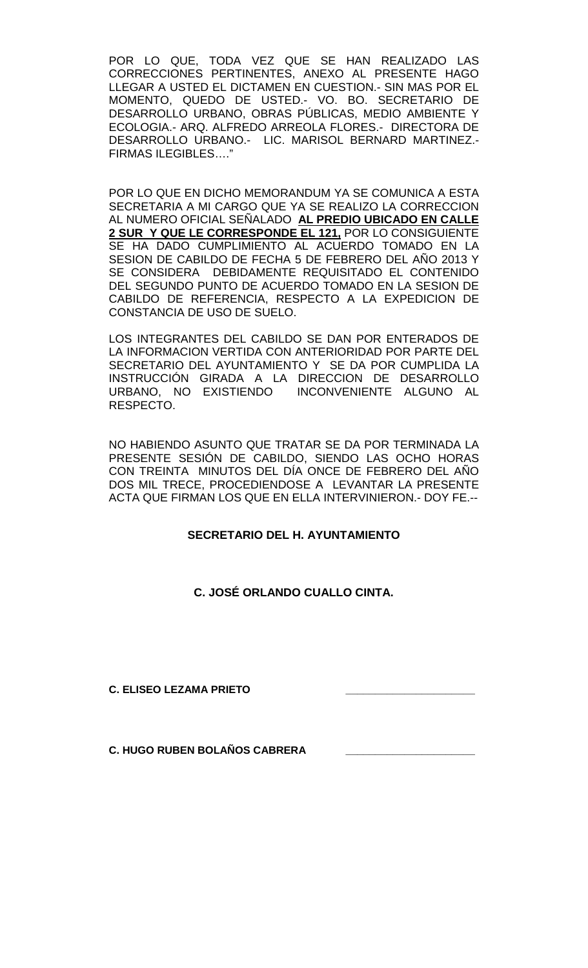POR LO QUE, TODA VEZ QUE SE HAN REALIZADO LAS CORRECCIONES PERTINENTES, ANEXO AL PRESENTE HAGO LLEGAR A USTED EL DICTAMEN EN CUESTION.- SIN MAS POR EL MOMENTO, QUEDO DE USTED.- VO. BO. SECRETARIO DE DESARROLLO URBANO, OBRAS PÚBLICAS, MEDIO AMBIENTE Y ECOLOGIA.- ARQ. ALFREDO ARREOLA FLORES.- DIRECTORA DE DESARROLLO URBANO.- LIC. MARISOL BERNARD MARTINEZ.- FIRMAS ILEGIBLES…."

POR LO QUE EN DICHO MEMORANDUM YA SE COMUNICA A ESTA SECRETARIA A MI CARGO QUE YA SE REALIZO LA CORRECCION AL NUMERO OFICIAL SEÑALADO **AL PREDIO UBICADO EN CALLE 2 SUR Y QUE LE CORRESPONDE EL 121,** POR LO CONSIGUIENTE SE HA DADO CUMPLIMIENTO AL ACUERDO TOMADO EN LA SESION DE CABILDO DE FECHA 5 DE FEBRERO DEL AÑO 2013 Y SE CONSIDERA DEBIDAMENTE REQUISITADO EL CONTENIDO DEL SEGUNDO PUNTO DE ACUERDO TOMADO EN LA SESION DE CABILDO DE REFERENCIA, RESPECTO A LA EXPEDICION DE CONSTANCIA DE USO DE SUELO.

LOS INTEGRANTES DEL CABILDO SE DAN POR ENTERADOS DE LA INFORMACION VERTIDA CON ANTERIORIDAD POR PARTE DEL SECRETARIO DEL AYUNTAMIENTO Y SE DA POR CUMPLIDA LA INSTRUCCIÓN GIRADA A LA DIRECCION DE DESARROLLO URBANO, NO EXISTIENDO INCONVENIENTE ALGUNO AL RESPECTO.

NO HABIENDO ASUNTO QUE TRATAR SE DA POR TERMINADA LA PRESENTE SESIÓN DE CABILDO, SIENDO LAS OCHO HORAS CON TREINTA MINUTOS DEL DÍA ONCE DE FEBRERO DEL AÑO DOS MIL TRECE, PROCEDIENDOSE A LEVANTAR LA PRESENTE ACTA QUE FIRMAN LOS QUE EN ELLA INTERVINIERON.- DOY FE.--

# **SECRETARIO DEL H. AYUNTAMIENTO**

# **C. JOSÉ ORLANDO CUALLO CINTA.**

**C. ELISEO LEZAMA PRIETO \_\_\_\_\_\_\_\_\_\_\_\_\_\_\_\_\_\_\_\_\_\_**

**C. HUGO RUBEN BOLAÑOS CABRERA \_\_\_\_\_\_\_\_\_\_\_\_\_\_\_\_\_\_\_\_\_\_**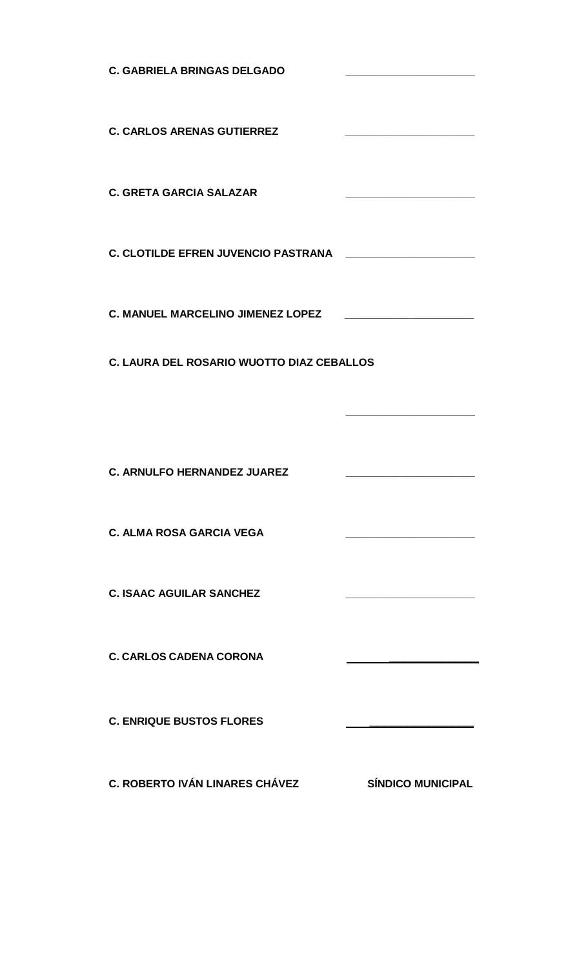**C. GABRIELA BRINGAS DELGADO \_\_\_\_\_\_\_\_\_\_\_\_\_\_\_\_\_\_\_\_\_\_ C. CARLOS ARENAS GUTIERREZ \_\_\_\_\_\_\_\_\_\_\_\_\_\_\_\_\_\_\_\_\_\_ C. GRETA GARCIA SALAZAR \_\_\_\_\_\_\_\_\_\_\_\_\_\_\_\_\_\_\_\_\_\_ C. CLOTILDE EFREN JUVENCIO PASTRANA \_\_\_\_\_\_\_\_\_\_\_\_\_\_\_\_\_\_\_\_\_\_ C. MANUEL MARCELINO JIMENEZ LOPEZ \_\_\_\_\_\_\_\_\_\_\_\_\_\_\_\_\_\_\_\_\_\_ C. LAURA DEL ROSARIO WUOTTO DIAZ CEBALLOS \_\_\_\_\_\_\_\_\_\_\_\_\_\_\_\_\_\_\_\_\_\_ C. ARNULFO HERNANDEZ JUAREZ \_\_\_\_\_\_\_\_\_\_\_\_\_\_\_\_\_\_\_\_\_\_ C. ALMA ROSA GARCIA VEGA \_\_\_\_\_\_\_\_\_\_\_\_\_\_\_\_\_\_\_\_\_\_ C. ISAAC AGUILAR SANCHEZ \_\_\_\_\_\_\_\_\_\_\_\_\_\_\_\_\_\_\_\_\_\_ C. CARLOS CADENA CORONA \_\_\_\_\_\_\_\_\_\_\_\_ C. ENRIQUE BUSTOS FLORES \_\_\_\_\_\_\_\_\_\_\_\_\_\_ C. ROBERTO IVÁN LINARES CHÁVEZ SÍNDICO MUNICIPAL**